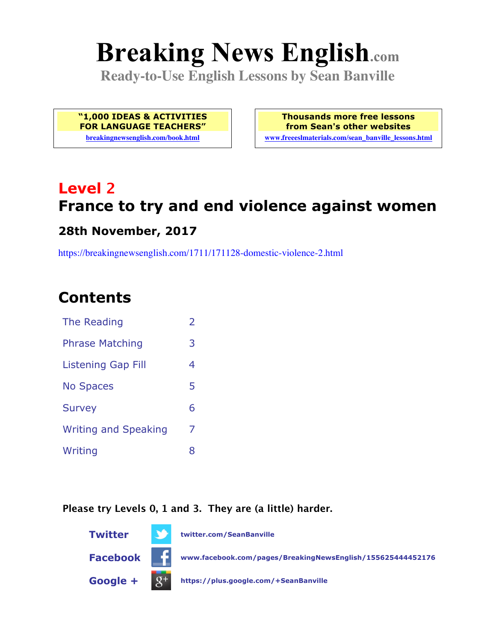# **Breaking News English.com**

**Ready-to-Use English Lessons by Sean Banville**

**"1,000 IDEAS & ACTIVITIES FOR LANGUAGE TEACHERS"**

**breakingnewsenglish.com/book.html**

**Thousands more free lessons from Sean's other websites www.freeeslmaterials.com/sean\_banville\_lessons.html**

## **Level 2 France to try and end violence against women**

#### **28th November, 2017**

https://breakingnewsenglish.com/1711/171128-domestic-violence-2.html

### **Contents**

| The Reading                 | $\overline{\phantom{a}}$ |
|-----------------------------|--------------------------|
| <b>Phrase Matching</b>      | 3                        |
| <b>Listening Gap Fill</b>   | 4                        |
| <b>No Spaces</b>            | 5                        |
| <b>Survey</b>               | 6                        |
| <b>Writing and Speaking</b> | 7                        |
| Writing                     | 8                        |

#### **Please try Levels 0, 1 and 3. They are (a little) harder.**

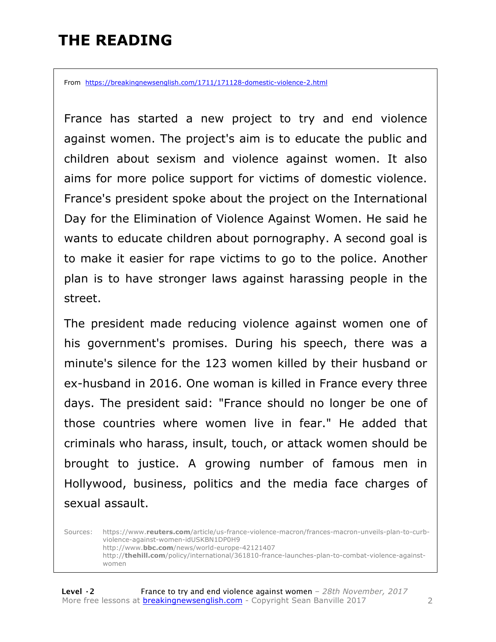### **THE READING**

From https://breakingnewsenglish.com/1711/171128-domestic-violence-2.html

France has started a new project to try and end violence against women. The project's aim is to educate the public and children about sexism and violence against women. It also aims for more police support for victims of domestic violence. France's president spoke about the project on the International Day for the Elimination of Violence Against Women. He said he wants to educate children about pornography. A second goal is to make it easier for rape victims to go to the police. Another plan is to have stronger laws against harassing people in the street.

The president made reducing violence against women one of his government's promises. During his speech, there was a minute's silence for the 123 women killed by their husband or ex-husband in 2016. One woman is killed in France every three days. The president said: "France should no longer be one of those countries where women live in fear." He added that criminals who harass, insult, touch, or attack women should be brought to justice. A growing number of famous men in Hollywood, business, politics and the media face charges of sexual assault.

Sources: https://www.**reuters.com**/article/us-france-violence-macron/frances-macron-unveils-plan-to-curbviolence-against-women-idUSKBN1DP0H9 http://www.**bbc.com**/news/world-europe-42121407 http://**thehill.com**/policy/international/361810-france-launches-plan-to-combat-violence-againstwomen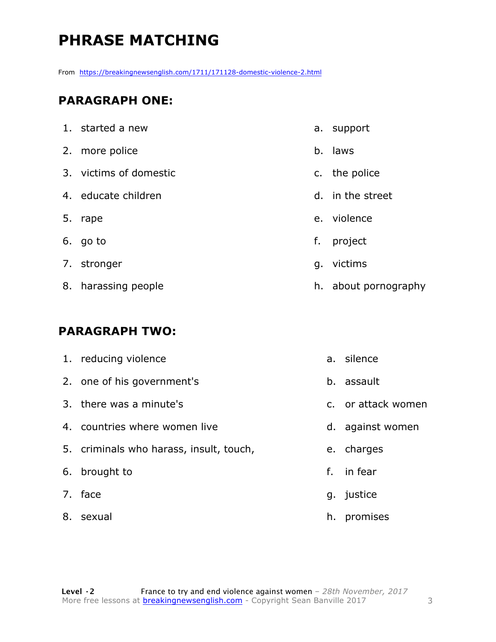### **PHRASE MATCHING**

From https://breakingnewsenglish.com/1711/171128-domestic-violence-2.html

#### **PARAGRAPH ONE:**

| 1. started a new       |    | a. support           |
|------------------------|----|----------------------|
| 2. more police         |    | b. laws              |
| 3. victims of domestic |    | c. the police        |
| 4. educate children    |    | d. in the street     |
| 5. rape                |    | e. violence          |
| 6. go to               | f. | project              |
| 7. stronger            |    | g. victims           |
| 8. harassing people    |    | h. about pornography |

#### **PARAGRAPH TWO:**

| 1. reducing violence                    |    | a. silence         |
|-----------------------------------------|----|--------------------|
| 2. one of his government's              |    | b. assault         |
| 3. there was a minute's                 |    | c. or attack women |
| 4. countries where women live           |    | d. against women   |
| 5. criminals who harass, insult, touch, |    | e. charges         |
| 6. brought to                           | f. | in fear            |
| 7. face                                 |    | g. justice         |
| 8. sexual                               | h. | promises           |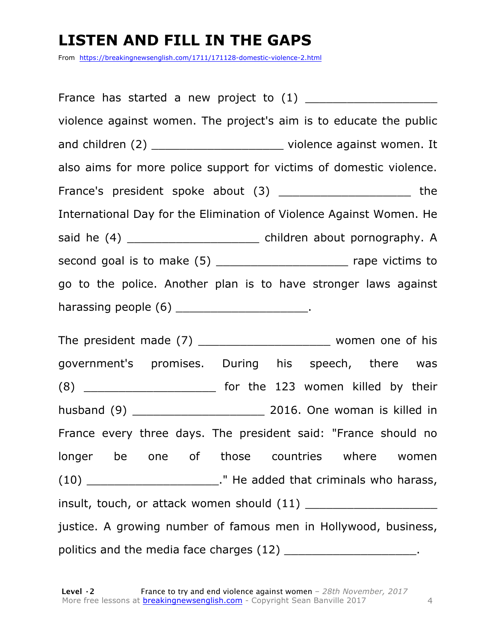### **LISTEN AND FILL IN THE GAPS**

From https://breakingnewsenglish.com/1711/171128-domestic-violence-2.html

France has started a new project to  $(1)$ violence against women. The project's aim is to educate the public and children (2) \_\_\_\_\_\_\_\_\_\_\_\_\_\_\_\_\_\_\_\_\_\_\_\_\_\_\_ violence against women. It also aims for more police support for victims of domestic violence. France's president spoke about (3) The state of the state of the state of the state of the state of the state of the state of the state of the state of the state of the state of the state of the state of the state of the s International Day for the Elimination of Violence Against Women. He said he (4) \_\_\_\_\_\_\_\_\_\_\_\_\_\_\_\_\_\_\_ children about pornography. A second goal is to make (5) \_\_\_\_\_\_\_\_\_\_\_\_\_\_\_\_\_\_\_ rape victims to go to the police. Another plan is to have stronger laws against harassing people  $(6)$  \_\_\_\_\_\_\_\_\_\_\_\_\_\_\_\_\_\_\_\_\_.

The president made  $(7)$  \_\_\_\_\_\_\_\_\_\_\_\_\_\_\_\_\_\_\_\_\_\_\_\_\_ women one of his government's promises. During his speech, there was  $(8)$  \_\_\_\_\_\_\_\_\_\_\_\_\_\_\_\_\_\_\_\_\_\_\_\_\_ for the 123 women killed by their husband (9) \_\_\_\_\_\_\_\_\_\_\_\_\_\_\_\_\_\_\_ 2016. One woman is killed in France every three days. The president said: "France should no longer be one of those countries where women  $(10)$  \_\_\_\_\_\_\_\_\_\_\_\_\_\_\_\_\_\_\_\_\_\_\_\_." He added that criminals who harass, insult, touch, or attack women should (11) \_\_\_\_\_\_\_\_\_\_\_\_\_\_\_\_\_\_\_ justice. A growing number of famous men in Hollywood, business, politics and the media face charges (12) \_\_\_\_\_\_\_\_\_\_\_\_\_\_\_\_\_\_\_\_\_\_.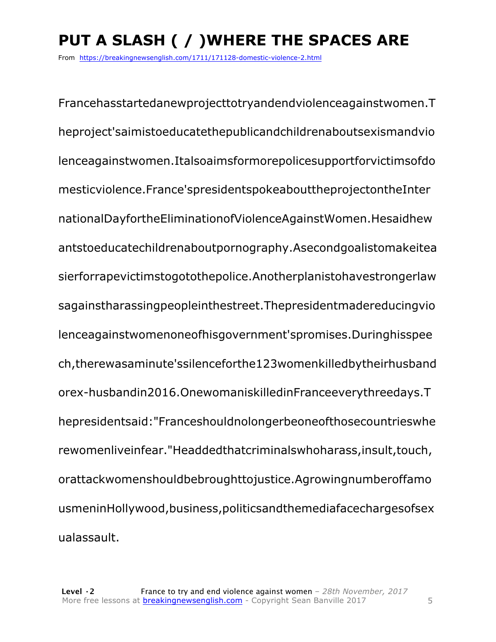### **PUT A SLASH ( / )WHERE THE SPACES ARE**

From https://breakingnewsenglish.com/1711/171128-domestic-violence-2.html

Francehasstartedanewprojecttotryandendviolenceagainstwomen.T heproject'saimistoeducatethepublicandchildrenaboutsexismandvio lenceagainstwomen.Italsoaimsformorepolicesupportforvictimsofdo mesticviolence.France'spresidentspokeabouttheprojectontheInter nationalDayfortheEliminationofViolenceAgainstWomen.Hesaidhew antstoeducatechildrenaboutpornography.Asecondgoalistomakeitea sierforrapevictimstogotothepolice.Anotherplanistohavestrongerlaw sagainstharassingpeopleinthestreet.Thepresidentmadereducingvio lenceagainstwomenoneofhisgovernment'spromises.Duringhisspee ch,therewasaminute'ssilenceforthe123womenkilledbytheirhusband orex-husbandin2016.OnewomaniskilledinFranceeverythreedays.T hepresidentsaid:"Franceshouldnolongerbeoneofthosecountrieswhe rewomenliveinfear."Headdedthatcriminalswhoharass,insult,touch, orattackwomenshouldbebroughttojustice.Agrowingnumberoffamo usmeninHollywood,business,politicsandthemediafacechargesofsex ualassault.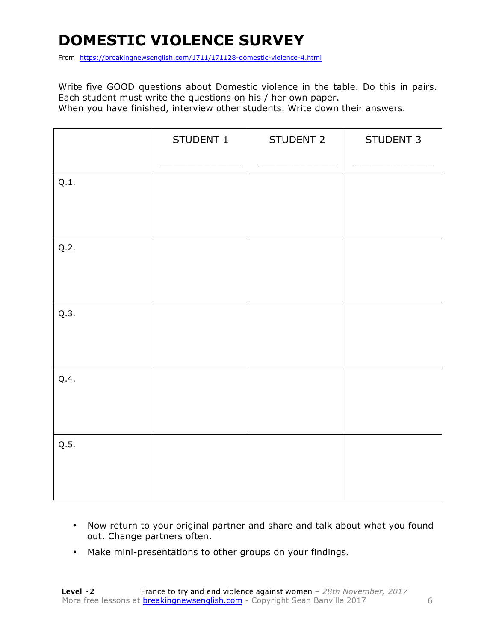### **DOMESTIC VIOLENCE SURVEY**

From https://breakingnewsenglish.com/1711/171128-domestic-violence-4.html

Write five GOOD questions about Domestic violence in the table. Do this in pairs. Each student must write the questions on his / her own paper. When you have finished, interview other students. Write down their answers.

|      | STUDENT 1 | STUDENT 2 | STUDENT 3 |
|------|-----------|-----------|-----------|
| Q.1. |           |           |           |
| Q.2. |           |           |           |
| Q.3. |           |           |           |
| Q.4. |           |           |           |
| Q.5. |           |           |           |

- Now return to your original partner and share and talk about what you found out. Change partners often.
- Make mini-presentations to other groups on your findings.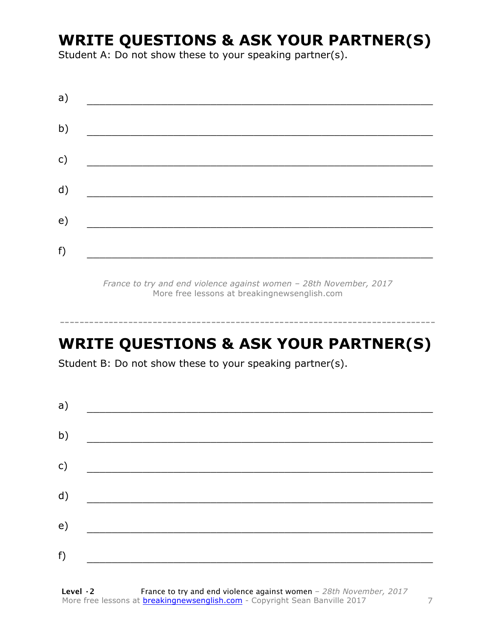### **WRITE QUESTIONS & ASK YOUR PARTNER(S)**

Student A: Do not show these to your speaking partner(s).

| a)           |  |  |
|--------------|--|--|
| b)           |  |  |
| $\mathsf{C}$ |  |  |
|              |  |  |
| d)           |  |  |
| e)           |  |  |
| f)           |  |  |

*France to try and end violence against women – 28th November, 2017* More free lessons at breakingnewsenglish.com

### **WRITE QUESTIONS & ASK YOUR PARTNER(S)**

-----------------------------------------------------------------------------

Student B: Do not show these to your speaking partner(s).

| a) |  |  |
|----|--|--|
| b) |  |  |
| c) |  |  |
| d) |  |  |
| e) |  |  |
| f) |  |  |
|    |  |  |